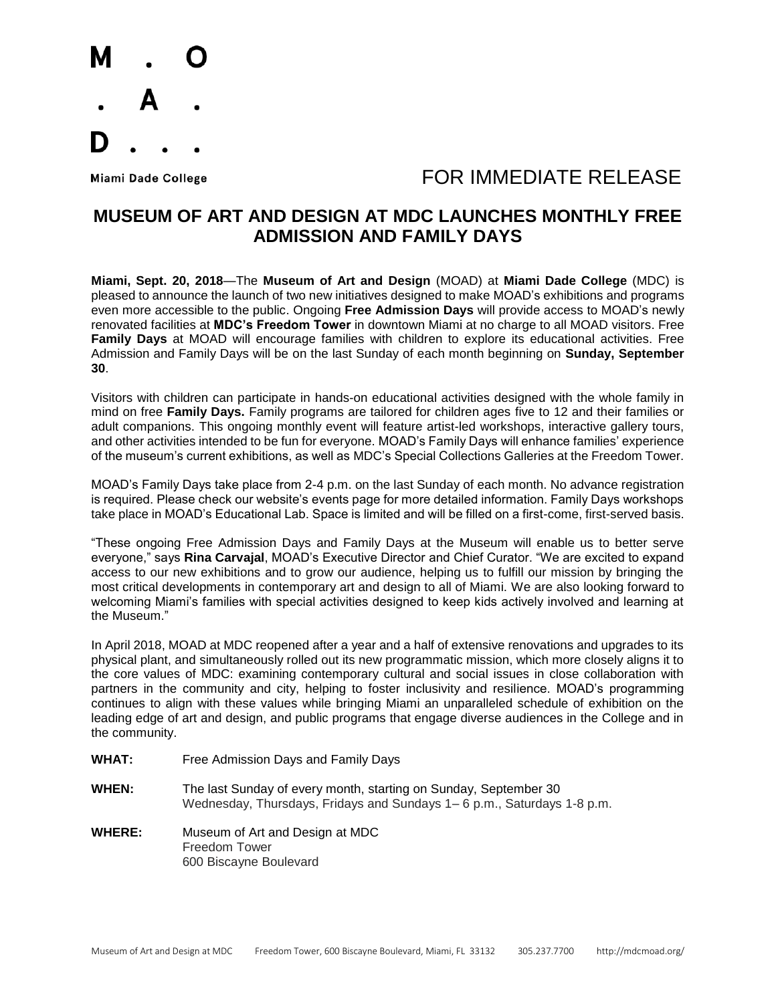

## Miami Dade College **Algebra 1999 TOR IMMEDIATE RELEASE**

## **MUSEUM OF ART AND DESIGN AT MDC LAUNCHES MONTHLY FREE ADMISSION AND FAMILY DAYS**

**Miami, Sept. 20, 2018**—The **Museum of Art and Design** (MOAD) at **Miami Dade College** (MDC) is pleased to announce the launch of two new initiatives designed to make MOAD's exhibitions and programs even more accessible to the public. Ongoing **Free Admission Days** will provide access to MOAD's newly renovated facilities at **MDC's Freedom Tower** in downtown Miami at no charge to all MOAD visitors. Free **Family Days** at MOAD will encourage families with children to explore its educational activities. Free Admission and Family Days will be on the last Sunday of each month beginning on **Sunday, September 30**.

Visitors with children can participate in hands-on educational activities designed with the whole family in mind on free **Family Days.** Family programs are tailored for children ages five to 12 and their families or adult companions. This ongoing monthly event will feature artist-led workshops, interactive gallery tours, and other activities intended to be fun for everyone. MOAD's Family Days will enhance families' experience of the museum's current exhibitions, as well as MDC's Special Collections Galleries at the Freedom Tower.

MOAD's Family Days take place from 2-4 p.m. on the last Sunday of each month. No advance registration is required. Please check our website's events page for more detailed information. Family Days workshops take place in MOAD's Educational Lab. Space is limited and will be filled on a first-come, first-served basis.

"These ongoing Free Admission Days and Family Days at the Museum will enable us to better serve everyone," says **Rina Carvajal**, MOAD's Executive Director and Chief Curator. "We are excited to expand access to our new exhibitions and to grow our audience, helping us to fulfill our mission by bringing the most critical developments in contemporary art and design to all of Miami. We are also looking forward to welcoming Miami's families with special activities designed to keep kids actively involved and learning at the Museum."

In April 2018, MOAD at MDC reopened after a year and a half of extensive renovations and upgrades to its physical plant, and simultaneously rolled out its new programmatic mission, which more closely aligns it to the core values of MDC: examining contemporary cultural and social issues in close collaboration with partners in the community and city, helping to foster inclusivity and resilience. MOAD's programming continues to align with these values while bringing Miami an unparalleled schedule of exhibition on the leading edge of art and design, and public programs that engage diverse audiences in the College and in the community.

- **WHAT:** Free Admission Days and Family Days
- **WHEN:** The last Sunday of every month, starting on Sunday, September 30 Wednesday, Thursdays, Fridays and Sundays 1– 6 p.m., Saturdays 1-8 p.m.
- **WHERE:** Museum of Art and Design at MDC Freedom Tower 600 Biscayne Boulevard